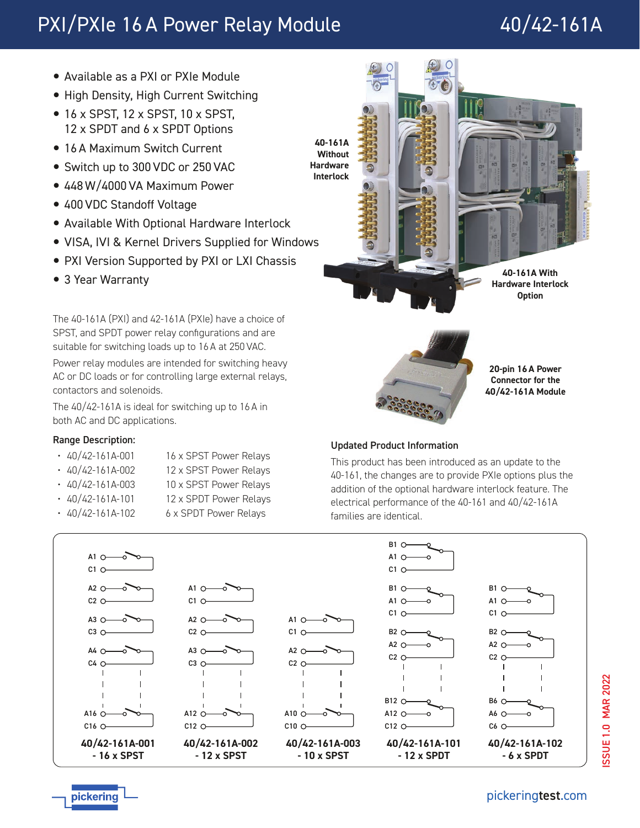# PXI/PXIe 16 A Power Relay Module 40/42-161A

- Available as a PXI or PXIe Module
- High Density, High Current Switching
- 16 x SPST, 12 x SPST, 10 x SPST, 12 x SPDT and 6 x SPDT Options
- 16 A Maximum Switch Current
- Switch up to 300 VDC or 250 VAC
- 448 W/4000 VA Maximum Power
- 400 VDC Standoff Voltage
- Available With Optional Hardware Interlock
- VISA, IVI & Kernel Drivers Supplied for Windows
- PXI Version Supported by PXI or LXI Chassis
- 3 Year Warranty

The 40-161A (PXI) and 42-161A (PXIe) have a choice of SPST, and SPDT power relay configurations and are suitable for switching loads up to 16 A at 250 VAC.

Power relay modules are intended for switching heavy AC or DC loads or for controlling large external relays, contactors and solenoids.

The 40/42-161A is ideal for switching up to 16 A in both AC and DC applications.

# Range Description:

- 40/42-161A-001 16 x SPST Power Relays
- 40/42-161A-002 12 x SPST Power Relays
	-
- 40/42-161A-003 10 x SPST Power Relays
- 40/42-161A-101 12 x SPDT Power Relays
- 40/42-161A-102 6 x SPDT Power Relays



# Updated Product Information

This product has been introduced as an update to the 40-161, the changes are to provide PXIe options plus the addition of the optional hardware interlock feature. The electrical performance of the 40-161 and 40/42-161A families are identical.





pickering

[pickering](http://www.pickeringtest.com/)test.com

**Connector for the 40/42-161A Module**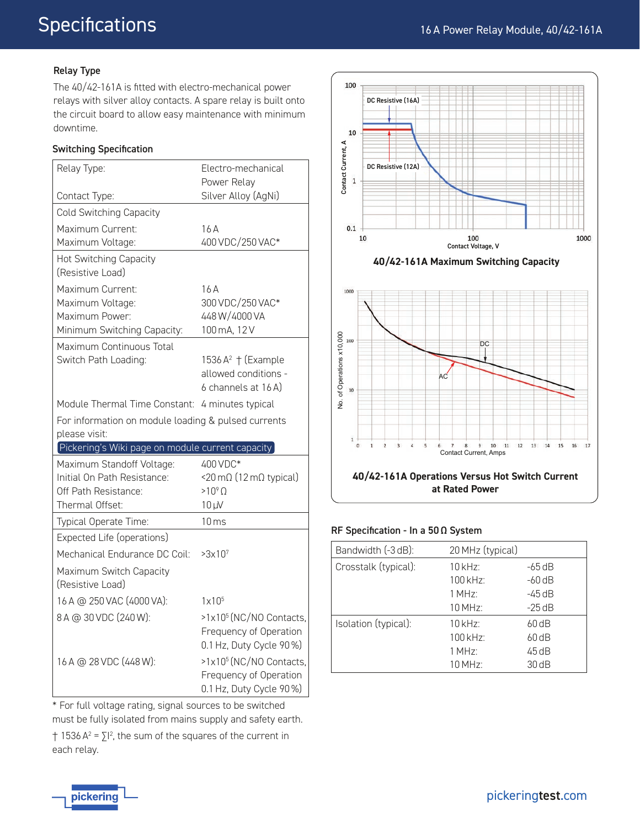#### Relay Type

The 40/42-161A is fitted with electro-mechanical power relays with silver alloy contacts. A spare relay is built onto the circuit board to allow easy maintenance with minimum downtime.

#### Switching Specification

| Relay Type:                                                                           | Electro-mechanical                                                                       |
|---------------------------------------------------------------------------------------|------------------------------------------------------------------------------------------|
| Contact Type:                                                                         | Power Relay<br>Silver Alloy (AgNi)                                                       |
| Cold Switching Capacity                                                               |                                                                                          |
|                                                                                       |                                                                                          |
| Maximum Current:<br>Maximum Voltage:                                                  | 16A<br>400 VDC/250 VAC*                                                                  |
| Hot Switching Capacity<br>(Resistive Load)                                            |                                                                                          |
| Maximum Current:<br>Maximum Voltage:<br>Maximum Power:<br>Minimum Switching Capacity: | 16A<br>300 VDC/250 VAC*<br>448W/4000VA<br>100 mA, 12 V                                   |
| Maximum Continuous Total<br>Switch Path Loading:                                      | 1536 $A^2$ † (Example<br>allowed conditions -<br>6 channels at 16 A)                     |
| Module Thermal Time Constant: 4 minutes typical                                       |                                                                                          |
| For information on module loading & pulsed currents                                   |                                                                                          |
| please visit:                                                                         |                                                                                          |
| [Pickering's Wiki page on module current capacity]                                    |                                                                                          |
| Maximum Standoff Voltage:<br>Initial On Path Resistance:                              | 400 VDC*<br><20 mΩ (12 mΩ typical)                                                       |
| Off Path Resistance:<br>Thermal Offset:                                               | $>10^9$ $\Omega$<br>$10 \mu V$                                                           |
| Typical Operate Time:                                                                 | $10 \,\mathrm{ms}$                                                                       |
| Expected Life (operations)                                                            |                                                                                          |
| Mechanical Endurance DC Coil:                                                         | >3x10 <sup>7</sup>                                                                       |
| Maximum Switch Capacity<br>(Resistive Load)                                           |                                                                                          |
| 16 A @ 250 VAC (4000 VA):                                                             | $1 \times 10^5$                                                                          |
| 8 A @ 30 VDC (240 W):                                                                 | >1x10 <sup>5</sup> (NC/NO Contacts,<br>Frequency of Operation<br>0.1 Hz, Duty Cycle 90%) |

\* For full voltage rating, signal sources to be switched must be fully isolated from mains supply and safety earth.  $\uparrow$  1536 A<sup>2</sup> =  $\Sigma$ <sup>2</sup>, the sum of the squares of the current in each relay.







#### RF Specification - In a 50 Ω System

| Bandwidth (-3 dB):   | 20 MHz (typical)            |          |
|----------------------|-----------------------------|----------|
| Crosstalk (typical): | $10$ kHz                    | -65 dB   |
|                      | $100$ kHz:                  | $-60$ dB |
|                      | $1$ MH <sub>7</sub> $\cdot$ | -45 dB   |
|                      | $10$ MHz:                   | $-25dB$  |
| Isolation (typical): | $10$ kHz:                   | $60$ dB  |
|                      | $100$ kHz:                  | $60$ dB  |
|                      | $1$ MH <sub>7</sub> $\cdot$ | 45 dB    |
|                      | 10 MHz:                     | 30dB     |

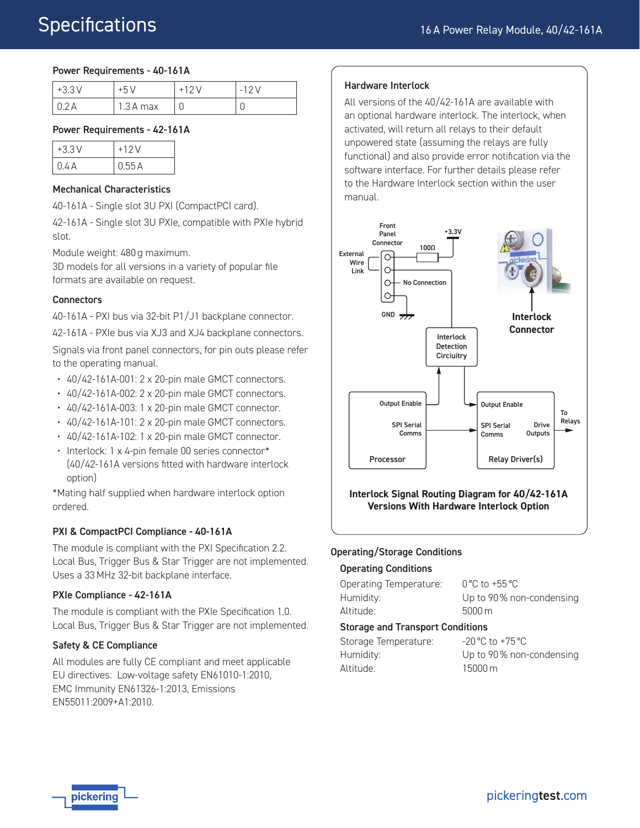#### Power Requirements - 40-161A

| $+3.3V$ | $+5V$      | $-12V$ |
|---------|------------|--------|
|         | $1.3A$ max | ◡      |

#### Power Requirements - 42-161A

| $+3.3V$ | $+12V$ |
|---------|--------|
| 0.4 A   | 0.55A  |

#### Mechanical Characteristics

40-161A - Single slot 3U PXI (CompactPCI card).

42-161A - Single slot 3U PXIe, compatible with PXIe hybrid slot.

Module weight: 480 g maximum.

3D models for all versions in a variety of popular file formats are available on request.

#### **Connectors**

40-161A - PXI bus via 32-bit P1/J1 backplane connector.

42-161A - PXIe bus via XJ3 and XJ4 backplane connectors.

Signals via front panel connectors, for pin outs please refer to the operating manual.

- 40/42-161A-001: 2 x 20-pin male GMCT connectors.
- 40/42-161A-002: 2 x 20-pin male GMCT connectors.
- 40/42-161A-003: 1 x 20-pin male GMCT connector.
- 40/42-161A-101: 2 x 20-pin male GMCT connectors.
- 40/42-161A-102: 1 x 20-pin male GMCT connector.
- Interlock: 1 x 4-pin female 00 series connector\* (40/42-161A versions fitted with hardware interlock option)

\*Mating half supplied when hardware interlock option ordered.

### PXI & CompactPCI Compliance - 40-161A

The module is compliant with the PXI Specification 2.2. Local Bus, Trigger Bus & Star Trigger are not implemented. Uses a 33 MHz 32-bit backplane interface.

#### PXIe Compliance - 42-161A

The module is compliant with the PXIe Specification 1.0. Local Bus, Trigger Bus & Star Trigger are not implemented.

#### Safety & CE Compliance

All modules are fully CE compliant and meet applicable EU directives: Low-voltage safety EN61010-1:2010, EMC Immunity EN61326-1:2013, Emissions EN55011:2009+A1:2010.

#### Hardware Interlock

All versions of the 40/42-161A are available with an optional hardware interlock. The interlock, when activated, will return all relays to their default unpowered state (assuming the relays are fully functional) and also provide error notification via the software interface. For further details please refer to the Hardware Interlock section within the user manual.



**Interlock Signal Routing Diagram for 40/42-161A Versions With Hardware Interlock Option**

#### Operating/Storage Conditions

#### Operating Conditions

| Storage and Transnort Conditions |                                   |  |
|----------------------------------|-----------------------------------|--|
| Altitude: .                      | $5000 \,\mathrm{m}$               |  |
| Humidity:                        | Up to 90% non-condensing          |  |
| Operating Temperature:           | $0^{\circ}$ C to +55 $^{\circ}$ C |  |

#### Storage and Transport Conditions

| Storage Temperature: | $-20\,^{\circ}\text{C}$ to $+75\,^{\circ}\text{C}$ |
|----------------------|----------------------------------------------------|
| Humidity:            | Up to 90% non-condensing                           |
| Altitude: .          | $15000 \,\mathrm{m}$                               |

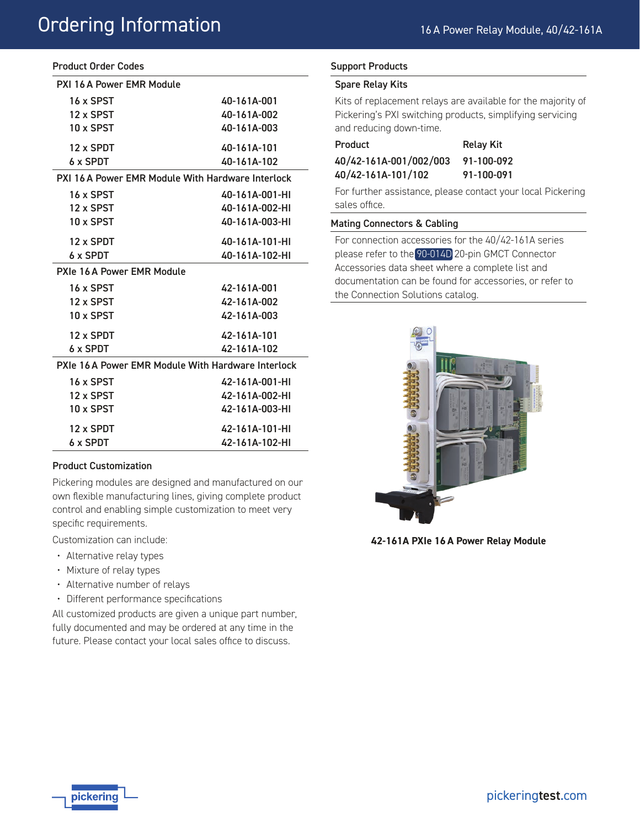# Ordering Information

| <b>Product Order Codes</b> |
|----------------------------|
|----------------------------|

| PXI 16 A Power FMR Module                          |                |  |
|----------------------------------------------------|----------------|--|
| 16 x SPST                                          | 40-161A-001    |  |
| 12 x SPST                                          | 40-161A-002    |  |
| 10 x SPST                                          | 40-161A-003    |  |
| 12 x SPDT                                          | 40-161A-101    |  |
| 6 x SPDT                                           | 40-161A-102    |  |
| PXI 16 A Power EMR Module With Hardware Interlock  |                |  |
| 16 x SPST                                          | 40-161A-001-HI |  |
| 12 x SPST                                          | 40-161A-002-HI |  |
| 10 x SPST                                          | 40-161A-003-HI |  |
| 12 x SPDT                                          | 40-161A-101-HI |  |
| 6 x SPDT                                           | 40-161A-102-HI |  |
| PXIe 16 A Power EMR Module                         |                |  |
| 16 x SPST                                          | 42-161A-001    |  |
| 12 x SPST                                          | 42-161A-002    |  |
| 10 x SPST                                          | 42-161A-003    |  |
| 12 x SPDT                                          | 42-161A-101    |  |
| 6 x SPDT                                           | 42-161A-102    |  |
| PXIe 16 A Power EMR Module With Hardware Interlock |                |  |
| 16 x SPST                                          | 42-161A-001-HI |  |
| 12 x SPST                                          | 42-161A-002-HI |  |
| 10 x SPST                                          | 42-161A-003-HI |  |
| 12 x SPDT                                          | 42-161A-101-HI |  |
| 6 x SPDT                                           | 42-161A-102-HI |  |

#### Product Customization

Pickering modules are designed and manufactured on our own flexible manufacturing lines, giving complete product control and enabling simple customization to meet very specific requirements.

Customization can include:

- Alternative relay types
- Mixture of relay types
- Alternative number of relays
- Different performance specifications

All customized products are given a unique part number, fully documented and may be ordered at any time in the future. Please contact your local sales office to discuss.

#### Support Products

#### Spare Relay Kits

Kits of replacement relays are available for the majority of Pickering's PXI switching products, simplifying servicing and reducing down-time.

| Product                | <b>Relay Kit</b> |
|------------------------|------------------|
| 40/42-161A-001/002/003 | 91-100-092       |
| 40/42-161A-101/102     | 91-100-091       |

For further assistance, please contact your local Pickering sales office.

#### Mating Connectors & Cabling

For connection accessories for the 40/42-161A series please refer to the [90-014D](http://www.pickeringtest.com/content/downloads/datasheets/90-014D.pdf) 20-pin GMCT Connector Accessories data sheet where a complete list and documentation can be found for accessories, or refer to the Connection Solutions catalog.



**42-161A PXIe 16 A Power Relay Module**

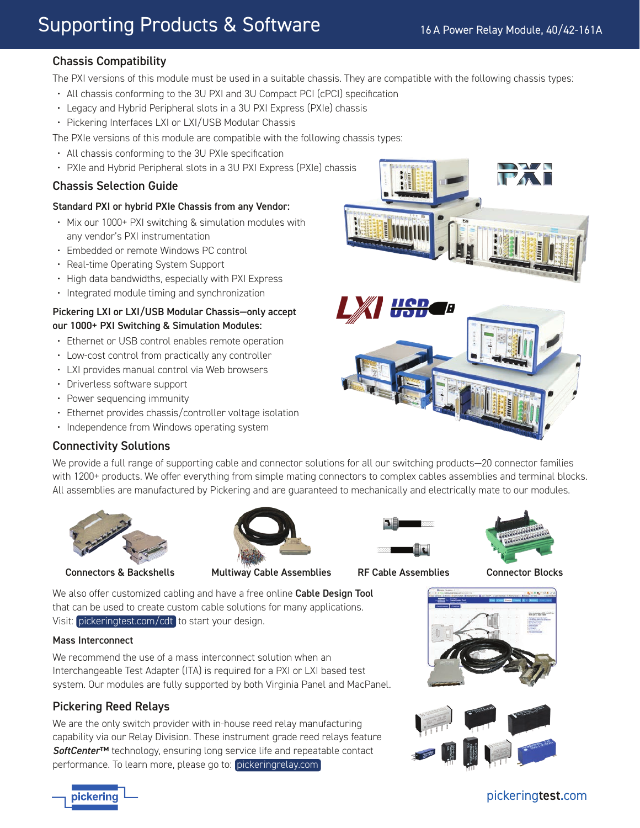# Supporting Products & Software

# Chassis Compatibility

The PXI versions of this module must be used in a suitable chassis. They are compatible with the following chassis types:

- All chassis conforming to the 3U PXI and 3U Compact PCI (cPCI) specification
- Legacy and Hybrid Peripheral slots in a 3U PXI Express (PXIe) chassis
- Pickering Interfaces LXI or LXI/USB Modular Chassis

The PXIe versions of this module are compatible with the following chassis types:

- All chassis conforming to the 3U PXIe specification
- PXIe and Hybrid Peripheral slots in a 3U PXI Express (PXIe) chassis

# Chassis Selection Guide

#### Standard PXI or hybrid PXIe Chassis from any Vendor:

- Mix our 1000+ PXI switching & simulation modules with any vendor's PXI instrumentation
- Embedded or remote Windows PC control
- Real-time Operating System Support
- High data bandwidths, especially with PXI Express
- Integrated module timing and synchronization

### Pickering LXI or LXI/USB Modular Chassis—only accept our 1000+ PXI Switching & Simulation Modules:

- Ethernet or USB control enables remote operation
- Low-cost control from practically any controller
- LXI provides manual control via Web browsers
- Driverless software support
- Power sequencing immunity
- Ethernet provides chassis/controller voltage isolation
- Independence from Windows operating system

# Connectivity Solutions

We provide a full range of supporting cable and connector solutions for all our switching products—20 connector families with 1200+ products. We offer everything from simple mating connectors to complex cables assemblies and terminal blocks. All assemblies are manufactured by Pickering and are guaranteed to mechanically and electrically mate to our modules.





Connectors & Backshells Multiway Cable Assemblies RF Cable Assemblies Connector Blocks





We also offer customized cabling and have a free online Cable Design Tool that can be used to create custom cable solutions for many applications. Visit: [pickeringtest.com/cdt](http://www.pickeringtest.com/cdt) to start your design.

### Mass Interconnect

We recommend the use of a mass interconnect solution when an Interchangeable Test Adapter (ITA) is required for a PXI or LXI based test system. Our modules are fully supported by both Virginia Panel and MacPanel.

# Pickering Reed Relays

We are the only switch provider with in-house reed relay manufacturing capability via our Relay Division. These instrument grade reed relays feature *SoftCenter*™ technology, ensuring long service life and repeatable contact performance. To learn more, please go to: [pickeringrelay.com](http://www.pickeringrelay.com)